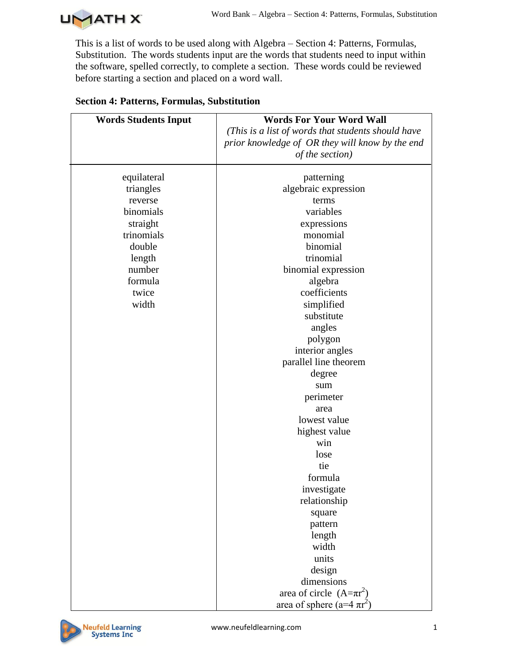

This is a list of words to be used along with Algebra – Section 4: Patterns, Formulas, Substitution. The words students input are the words that students need to input within the software, spelled correctly, to complete a section. These words could be reviewed before starting a section and placed on a word wall.

| <b>Words Students Input</b> | <b>Words For Your Word Wall</b>                    |
|-----------------------------|----------------------------------------------------|
|                             | (This is a list of words that students should have |
|                             | prior knowledge of OR they will know by the end    |
|                             | of the section)                                    |
| equilateral                 | patterning                                         |
| triangles                   | algebraic expression                               |
| reverse                     | terms                                              |
| binomials                   | variables                                          |
| straight                    | expressions                                        |
| trinomials                  | monomial                                           |
| double                      | binomial                                           |
| length                      | trinomial                                          |
| number                      | binomial expression                                |
| formula                     | algebra                                            |
| twice                       | coefficients                                       |
| width                       | simplified                                         |
|                             | substitute                                         |
|                             | angles                                             |
|                             | polygon                                            |
|                             | interior angles                                    |
|                             | parallel line theorem                              |
|                             | degree                                             |
|                             | sum                                                |
|                             | perimeter                                          |
|                             | area                                               |
|                             | lowest value                                       |
|                             | highest value                                      |
|                             | win                                                |
|                             | lose                                               |
|                             | tie                                                |
|                             | formula                                            |
|                             | investigate                                        |
|                             | relationship                                       |
|                             | square                                             |
|                             | pattern                                            |
|                             | length                                             |
|                             | width                                              |
|                             | units                                              |
|                             | design                                             |
|                             | dimensions                                         |
|                             | area of circle $(A=\pi r^2)$                       |
|                             | area of sphere (a=4 $\pi r^2$ )                    |

## **Section 4: Patterns, Formulas, Substitution**